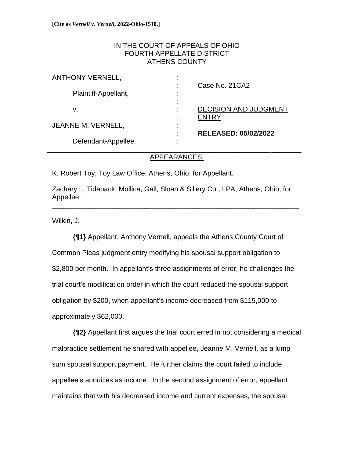## IN THE COURT OF APPEALS OF OHIO FOURTH APPELLATE DISTRICT ATHENS COUNTY

| <b>ANTHONY VERNELL,</b> | ٠<br>Case No. 21 CA <sub>2</sub>                        |
|-------------------------|---------------------------------------------------------|
| Plaintiff-Appellant,    | ٠<br>$\blacksquare$                                     |
| v.                      | $\blacksquare$<br><b>DECISION AND JUDGMENT</b><br>FNTRY |
| JEANNE M. VERNELL,      | ٠<br>$\blacksquare$<br><b>RELEASED: 05/02/2022</b><br>٠ |
| Defendant-Appellee.     | ٠                                                       |

## APPEARANCES:

K. Robert Toy, Toy Law Office, Athens, Ohio, for Appellant.

Zachary L. Tidaback, Mollica, Gall, Sloan & Sillery Co., LPA, Athens, Ohio, for Appellee. \_\_\_\_\_\_\_\_\_\_\_\_\_\_\_\_\_\_\_\_\_\_\_\_\_\_\_\_\_\_\_\_\_\_\_\_\_\_\_\_\_\_\_\_\_\_\_\_\_\_\_\_\_\_\_\_\_\_\_\_\_\_\_\_

Wilkin, J.

**{¶1}** Appellant, Anthony Vernell, appeals the Athens County Court of Common Pleas judgment entry modifying his spousal support obligation to \$2,800 per month. In appellant's three assignments of error, he challenges the trial court's modification order in which the court reduced the spousal support obligation by \$200, when appellant's income decreased from \$115,000 to approximately \$62,000.

**{¶2}** Appellant first argues the trial court erred in not considering a medical malpractice settlement he shared with appellee, Jeanne M. Vernell, as a lump sum spousal support payment. He further claims the court failed to include appellee's annuities as income. In the second assignment of error, appellant maintains that with his decreased income and current expenses, the spousal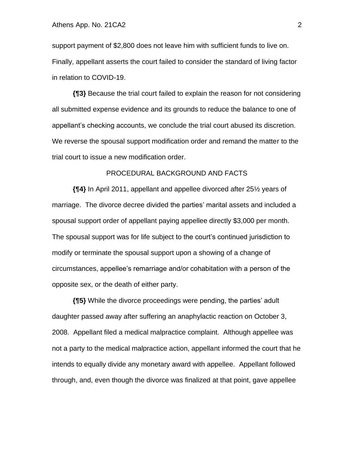support payment of \$2,800 does not leave him with sufficient funds to live on. Finally, appellant asserts the court failed to consider the standard of living factor in relation to COVID-19.

**{¶3}** Because the trial court failed to explain the reason for not considering all submitted expense evidence and its grounds to reduce the balance to one of appellant's checking accounts, we conclude the trial court abused its discretion. We reverse the spousal support modification order and remand the matter to the trial court to issue a new modification order.

### PROCEDURAL BACKGROUND AND FACTS

**{¶4}** In April 2011, appellant and appellee divorced after 25½ years of marriage. The divorce decree divided the parties' marital assets and included a spousal support order of appellant paying appellee directly \$3,000 per month. The spousal support was for life subject to the court's continued jurisdiction to modify or terminate the spousal support upon a showing of a change of circumstances, appellee's remarriage and/or cohabitation with a person of the opposite sex, or the death of either party.

**{¶5}** While the divorce proceedings were pending, the parties' adult daughter passed away after suffering an anaphylactic reaction on October 3, 2008. Appellant filed a medical malpractice complaint. Although appellee was not a party to the medical malpractice action, appellant informed the court that he intends to equally divide any monetary award with appellee. Appellant followed through, and, even though the divorce was finalized at that point, gave appellee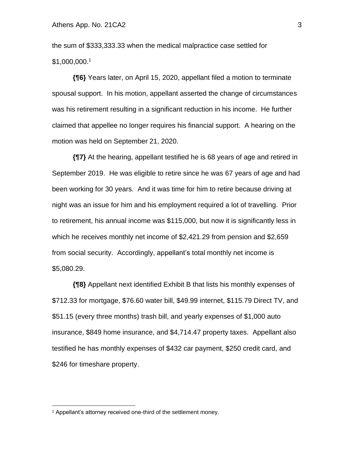the sum of \$333,333.33 when the medical malpractice case settled for \$1,000,000. 1

**{¶6}** Years later, on April 15, 2020, appellant filed a motion to terminate spousal support. In his motion, appellant asserted the change of circumstances was his retirement resulting in a significant reduction in his income. He further claimed that appellee no longer requires his financial support. A hearing on the motion was held on September 21, 2020.

**{¶7}** At the hearing, appellant testified he is 68 years of age and retired in September 2019. He was eligible to retire since he was 67 years of age and had been working for 30 years. And it was time for him to retire because driving at night was an issue for him and his employment required a lot of travelling. Prior to retirement, his annual income was \$115,000, but now it is significantly less in which he receives monthly net income of \$2,421.29 from pension and \$2,659 from social security. Accordingly, appellant's total monthly net income is \$5,080.29.

**{¶8}** Appellant next identified Exhibit B that lists his monthly expenses of \$712.33 for mortgage, \$76.60 water bill, \$49.99 internet, \$115.79 Direct TV, and \$51.15 (every three months) trash bill, and yearly expenses of \$1,000 auto insurance, \$849 home insurance, and \$4,714.47 property taxes. Appellant also testified he has monthly expenses of \$432 car payment, \$250 credit card, and \$246 for timeshare property.

<sup>1</sup> Appellant's attorney received one-third of the settlement money.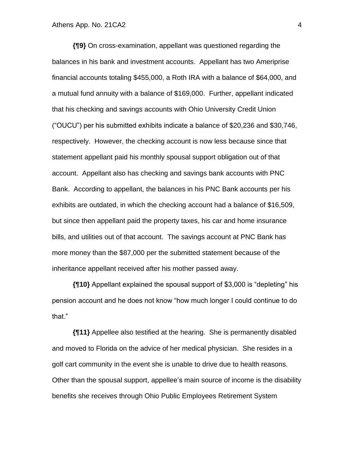**{¶9}** On cross-examination, appellant was questioned regarding the balances in his bank and investment accounts. Appellant has two Ameriprise financial accounts totaling \$455,000, a Roth IRA with a balance of \$64,000, and a mutual fund annuity with a balance of \$169,000. Further, appellant indicated that his checking and savings accounts with Ohio University Credit Union ("OUCU") per his submitted exhibits indicate a balance of \$20,236 and \$30,746, respectively. However, the checking account is now less because since that statement appellant paid his monthly spousal support obligation out of that account. Appellant also has checking and savings bank accounts with PNC Bank. According to appellant, the balances in his PNC Bank accounts per his exhibits are outdated, in which the checking account had a balance of \$16,509, but since then appellant paid the property taxes, his car and home insurance bills, and utilities out of that account. The savings account at PNC Bank has more money than the \$87,000 per the submitted statement because of the inheritance appellant received after his mother passed away.

**{¶10}** Appellant explained the spousal support of \$3,000 is "depleting" his pension account and he does not know "how much longer I could continue to do that."

**{¶11}** Appellee also testified at the hearing. She is permanently disabled and moved to Florida on the advice of her medical physician. She resides in a golf cart community in the event she is unable to drive due to health reasons. Other than the spousal support, appellee's main source of income is the disability benefits she receives through Ohio Public Employees Retirement System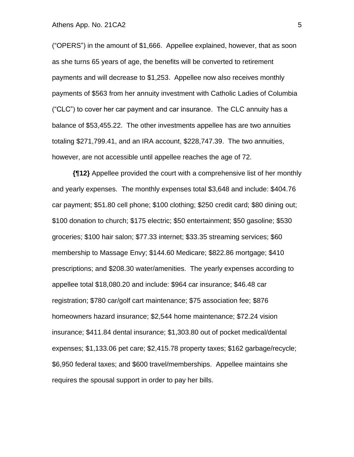#### Athens App. No. 21 CA2 5

("OPERS") in the amount of \$1,666. Appellee explained, however, that as soon as she turns 65 years of age, the benefits will be converted to retirement payments and will decrease to \$1,253. Appellee now also receives monthly payments of \$563 from her annuity investment with Catholic Ladies of Columbia ("CLC") to cover her car payment and car insurance. The CLC annuity has a balance of \$53,455.22. The other investments appellee has are two annuities totaling \$271,799.41, and an IRA account, \$228,747.39. The two annuities, however, are not accessible until appellee reaches the age of 72.

**{¶12}** Appellee provided the court with a comprehensive list of her monthly and yearly expenses. The monthly expenses total \$3,648 and include: \$404.76 car payment; \$51.80 cell phone; \$100 clothing; \$250 credit card; \$80 dining out; \$100 donation to church; \$175 electric; \$50 entertainment; \$50 gasoline; \$530 groceries; \$100 hair salon; \$77.33 internet; \$33.35 streaming services; \$60 membership to Massage Envy; \$144.60 Medicare; \$822.86 mortgage; \$410 prescriptions; and \$208.30 water/amenities. The yearly expenses according to appellee total \$18,080.20 and include: \$964 car insurance; \$46.48 car registration; \$780 car/golf cart maintenance; \$75 association fee; \$876 homeowners hazard insurance; \$2,544 home maintenance; \$72.24 vision insurance; \$411.84 dental insurance; \$1,303.80 out of pocket medical/dental expenses; \$1,133.06 pet care; \$2,415.78 property taxes; \$162 garbage/recycle; \$6,950 federal taxes; and \$600 travel/memberships. Appellee maintains she requires the spousal support in order to pay her bills.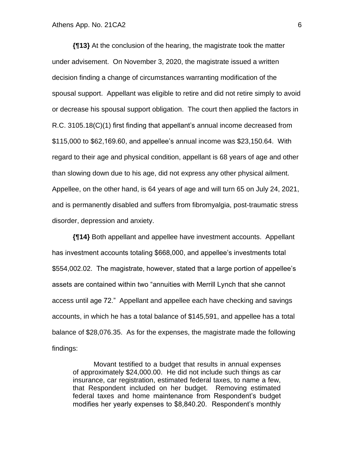**{¶13}** At the conclusion of the hearing, the magistrate took the matter under advisement. On November 3, 2020, the magistrate issued a written decision finding a change of circumstances warranting modification of the spousal support. Appellant was eligible to retire and did not retire simply to avoid or decrease his spousal support obligation. The court then applied the factors in R.C. 3105.18(C)(1) first finding that appellant's annual income decreased from \$115,000 to \$62,169.60, and appellee's annual income was \$23,150.64. With regard to their age and physical condition, appellant is 68 years of age and other than slowing down due to his age, did not express any other physical ailment. Appellee, on the other hand, is 64 years of age and will turn 65 on July 24, 2021, and is permanently disabled and suffers from fibromyalgia, post-traumatic stress disorder, depression and anxiety.

**{¶14}** Both appellant and appellee have investment accounts. Appellant has investment accounts totaling \$668,000, and appellee's investments total \$554,002.02. The magistrate, however, stated that a large portion of appellee's assets are contained within two "annuities with Merrill Lynch that she cannot access until age 72." Appellant and appellee each have checking and savings accounts, in which he has a total balance of \$145,591, and appellee has a total balance of \$28,076.35. As for the expenses, the magistrate made the following findings:

Movant testified to a budget that results in annual expenses of approximately \$24,000.00. He did not include such things as car insurance, car registration, estimated federal taxes, to name a few, that Respondent included on her budget. Removing estimated federal taxes and home maintenance from Respondent's budget modifies her yearly expenses to \$8,840.20. Respondent's monthly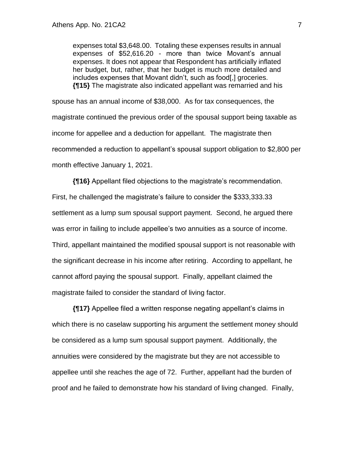expenses total \$3,648.00. Totaling these expenses results in annual expenses of \$52,616.20 - more than twice Movant's annual expenses. It does not appear that Respondent has artificially inflated her budget, but, rather, that her budget is much more detailed and includes expenses that Movant didn't, such as food[,] groceries. **{¶15}** The magistrate also indicated appellant was remarried and his

spouse has an annual income of \$38,000. As for tax consequences, the magistrate continued the previous order of the spousal support being taxable as income for appellee and a deduction for appellant. The magistrate then recommended a reduction to appellant's spousal support obligation to \$2,800 per month effective January 1, 2021.

**{¶16}** Appellant filed objections to the magistrate's recommendation. First, he challenged the magistrate's failure to consider the \$333,333.33 settlement as a lump sum spousal support payment. Second, he argued there was error in failing to include appellee's two annuities as a source of income. Third, appellant maintained the modified spousal support is not reasonable with the significant decrease in his income after retiring. According to appellant, he cannot afford paying the spousal support. Finally, appellant claimed the magistrate failed to consider the standard of living factor.

**{¶17}** Appellee filed a written response negating appellant's claims in which there is no caselaw supporting his argument the settlement money should be considered as a lump sum spousal support payment. Additionally, the annuities were considered by the magistrate but they are not accessible to appellee until she reaches the age of 72. Further, appellant had the burden of proof and he failed to demonstrate how his standard of living changed. Finally,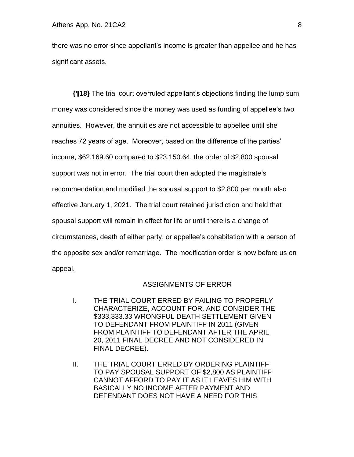there was no error since appellant's income is greater than appellee and he has significant assets.

**{¶18}** The trial court overruled appellant's objections finding the lump sum money was considered since the money was used as funding of appellee's two annuities. However, the annuities are not accessible to appellee until she reaches 72 years of age. Moreover, based on the difference of the parties' income, \$62,169.60 compared to \$23,150.64, the order of \$2,800 spousal support was not in error. The trial court then adopted the magistrate's recommendation and modified the spousal support to \$2,800 per month also effective January 1, 2021. The trial court retained jurisdiction and held that spousal support will remain in effect for life or until there is a change of circumstances, death of either party, or appellee's cohabitation with a person of the opposite sex and/or remarriage. The modification order is now before us on appeal.

### ASSIGNMENTS OF ERROR

- I. THE TRIAL COURT ERRED BY FAILING TO PROPERLY CHARACTERIZE, ACCOUNT FOR, AND CONSIDER THE \$333,333.33 WRONGFUL DEATH SETTLEMENT GIVEN TO DEFENDANT FROM PLAINTIFF IN 2011 (GIVEN FROM PLAINTIFF TO DEFENDANT AFTER THE APRIL 20, 2011 FINAL DECREE AND NOT CONSIDERED IN FINAL DECREE).
- II. THE TRIAL COURT ERRED BY ORDERING PLAINTIFF TO PAY SPOUSAL SUPPORT OF \$2,800 AS PLAINTIFF CANNOT AFFORD TO PAY IT AS IT LEAVES HIM WITH BASICALLY NO INCOME AFTER PAYMENT AND DEFENDANT DOES NOT HAVE A NEED FOR THIS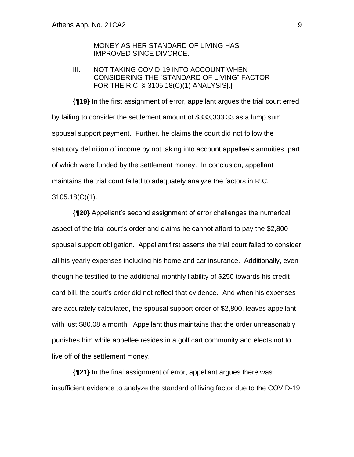## MONEY AS HER STANDARD OF LIVING HAS IMPROVED SINCE DIVORCE.

## III. NOT TAKING COVID-19 INTO ACCOUNT WHEN CONSIDERING THE "STANDARD OF LIVING" FACTOR FOR THE R.C. § 3105.18(C)(1) ANALYSIS[.]

**{¶19}** In the first assignment of error, appellant argues the trial court erred by failing to consider the settlement amount of \$333,333.33 as a lump sum spousal support payment. Further, he claims the court did not follow the statutory definition of income by not taking into account appellee's annuities, part of which were funded by the settlement money. In conclusion, appellant maintains the trial court failed to adequately analyze the factors in R.C. 3105.18(C)(1).

**{¶20}** Appellant's second assignment of error challenges the numerical aspect of the trial court's order and claims he cannot afford to pay the \$2,800 spousal support obligation. Appellant first asserts the trial court failed to consider all his yearly expenses including his home and car insurance. Additionally, even though he testified to the additional monthly liability of \$250 towards his credit card bill, the court's order did not reflect that evidence. And when his expenses are accurately calculated, the spousal support order of \$2,800, leaves appellant with just \$80.08 a month. Appellant thus maintains that the order unreasonably punishes him while appellee resides in a golf cart community and elects not to live off of the settlement money.

**{¶21}** In the final assignment of error, appellant argues there was insufficient evidence to analyze the standard of living factor due to the COVID-19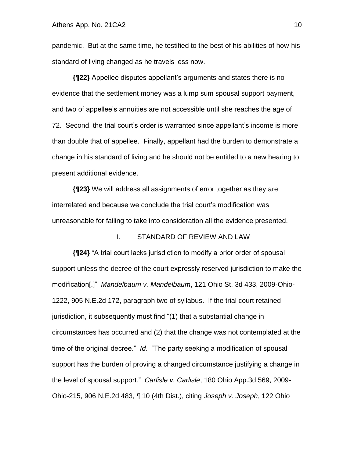pandemic. But at the same time, he testified to the best of his abilities of how his standard of living changed as he travels less now.

**{¶22}** Appellee disputes appellant's arguments and states there is no evidence that the settlement money was a lump sum spousal support payment, and two of appellee's annuities are not accessible until she reaches the age of 72. Second, the trial court's order is warranted since appellant's income is more than double that of appellee. Finally, appellant had the burden to demonstrate a change in his standard of living and he should not be entitled to a new hearing to present additional evidence.

**{¶23}** We will address all assignments of error together as they are interrelated and because we conclude the trial court's modification was unreasonable for failing to take into consideration all the evidence presented.

### I. STANDARD OF REVIEW AND LAW

**{¶24}** "A trial court lacks jurisdiction to modify a prior order of spousal support unless the decree of the court expressly reserved jurisdiction to make the modification[.]" *Mandelbaum v. Mandelbaum*, 121 Ohio St. 3d 433, 2009-Ohio-1222, 905 N.E.2d 172, paragraph two of syllabus. If the trial court retained jurisdiction, it subsequently must find "(1) that a substantial change in circumstances has occurred and (2) that the change was not contemplated at the time of the original decree." *Id*. "The party seeking a modification of spousal support has the burden of proving a changed circumstance justifying a change in the level of spousal support." *Carlisle v. Carlisle*, 180 Ohio App.3d 569, 2009- Ohio-215, 906 N.E.2d 483, ¶ 10 (4th Dist.), citing *Joseph v. Joseph*, 122 Ohio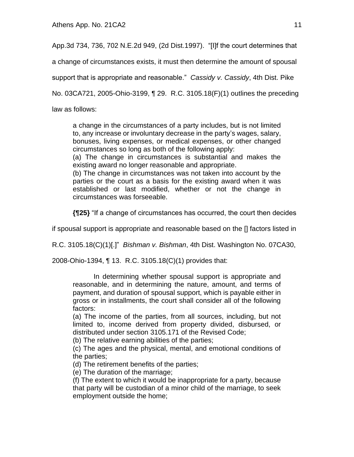App.3d 734, 736, 702 N.E.2d 949, (2d Dist.1997). "[I]f the court determines that

a change of circumstances exists, it must then determine the amount of spousal

support that is appropriate and reasonable." *Cassidy v. Cassidy*, 4th Dist. Pike

No. 03CA721, 2005-Ohio-3199, ¶ 29. R.C. 3105.18(F)(1) outlines the preceding

law as follows:

a change in the circumstances of a party includes, but is not limited to, any increase or involuntary decrease in the party's wages, salary, bonuses, living expenses, or medical expenses, or other changed circumstances so long as both of the following apply:

(a) The change in circumstances is substantial and makes the existing award no longer reasonable and appropriate.

(b) The change in circumstances was not taken into account by the parties or the court as a basis for the existing award when it was established or last modified, whether or not the change in circumstances was forseeable.

**{¶25}** "If a change of circumstances has occurred, the court then decides

if spousal support is appropriate and reasonable based on the [] factors listed in

R.C. 3105.18(C)(1)[.]" *Bishman v. Bishman*, 4th Dist. Washington No. 07CA30,

2008-Ohio-1394, ¶ 13. R.C. 3105.18(C)(1) provides that:

In determining whether spousal support is appropriate and reasonable, and in determining the nature, amount, and terms of payment, and duration of spousal support, which is payable either in gross or in installments, the court shall consider all of the following factors:

(a) The income of the parties, from all sources, including, but not limited to, income derived from property divided, disbursed, or distributed under section 3105.171 of the Revised Code;

(b) The relative earning abilities of the parties;

(c) The ages and the physical, mental, and emotional conditions of the parties;

(d) The retirement benefits of the parties;

(e) The duration of the marriage;

(f) The extent to which it would be inappropriate for a party, because that party will be custodian of a minor child of the marriage, to seek employment outside the home;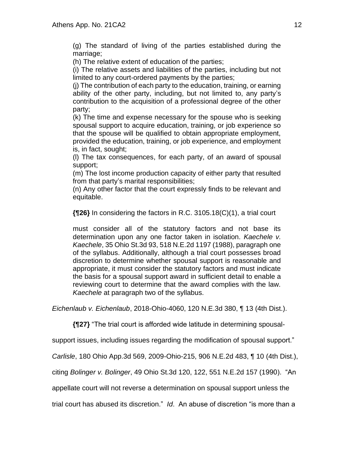(g) The standard of living of the parties established during the marriage;

(h) The relative extent of education of the parties;

(i) The relative assets and liabilities of the parties, including but not limited to any court-ordered payments by the parties;

(j) The contribution of each party to the education, training, or earning ability of the other party, including, but not limited to, any party's contribution to the acquisition of a professional degree of the other party;

(k) The time and expense necessary for the spouse who is seeking spousal support to acquire education, training, or job experience so that the spouse will be qualified to obtain appropriate employment, provided the education, training, or job experience, and employment is, in fact, sought;

(l) The tax consequences, for each party, of an award of spousal support;

(m) The lost income production capacity of either party that resulted from that party's marital responsibilities;

(n) Any other factor that the court expressly finds to be relevant and equitable.

**{¶26}** In considering the factors in R.C. 3105.18(C)(1), a trial court

must consider all of the statutory factors and not base its determination upon any one factor taken in isolation. *Kaechele v. Kaechele*, 35 Ohio St.3d 93, 518 N.E.2d 1197 (1988), paragraph one of the syllabus. Additionally, although a trial court possesses broad discretion to determine whether spousal support is reasonable and appropriate, it must consider the statutory factors and must indicate the basis for a spousal support award in sufficient detail to enable a reviewing court to determine that the award complies with the law. *Kaechele* at paragraph two of the syllabus.

*Eichenlaub v. Eichenlaub*, 2018-Ohio-4060, 120 N.E.3d 380, ¶ 13 (4th Dist.).

**{¶27}** "The trial court is afforded wide latitude in determining spousal-

support issues, including issues regarding the modification of spousal support."

*Carlisle*, 180 Ohio App.3d 569, 2009-Ohio-215, 906 N.E.2d 483, ¶ 10 (4th Dist.),

citing *Bolinger v. Bolinger*, 49 Ohio St.3d 120, 122, 551 N.E.2d 157 (1990). "An

appellate court will not reverse a determination on spousal support unless the

trial court has abused its discretion." *Id*. An abuse of discretion "is more than a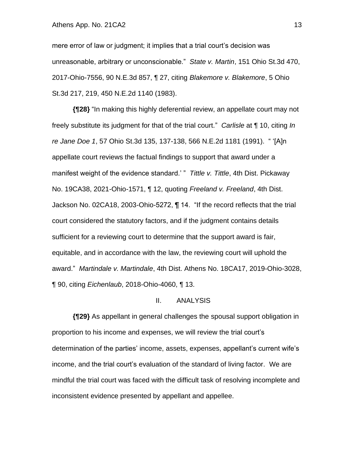#### Athens App. No. 21CA2 13

mere error of law or judgment; it implies that a trial court's decision was unreasonable, arbitrary or unconscionable." *State v. Martin*, 151 Ohio St.3d 470, 2017-Ohio-7556, 90 N.E.3d 857, ¶ 27, citing *Blakemore v. Blakemore*, 5 Ohio St.3d 217, 219, 450 N.E.2d 1140 (1983).

**{¶28}** "In making this highly deferential review, an appellate court may not freely substitute its judgment for that of the trial court." *Carlisle* at ¶ 10, citing *In re Jane Doe 1*, 57 Ohio St.3d 135, 137-138, 566 N.E.2d 1181 (1991). " '[A]n appellate court reviews the factual findings to support that award under a manifest weight of the evidence standard.' " *Tittle v. Tittle*, 4th Dist. Pickaway No. 19CA38, 2021-Ohio-1571, ¶ 12, quoting *Freeland v. Freeland*, 4th Dist. Jackson No. 02CA18, 2003-Ohio-5272, ¶ 14. "If the record reflects that the trial court considered the statutory factors, and if the judgment contains details sufficient for a reviewing court to determine that the support award is fair, equitable, and in accordance with the law, the reviewing court will uphold the award." *Martindale v. Martindale*, 4th Dist. Athens No. 18CA17, 2019-Ohio-3028, ¶ 90, citing *Eichenlaub*, 2018-Ohio-4060, ¶ 13.

#### II. ANALYSIS

**{¶29}** As appellant in general challenges the spousal support obligation in proportion to his income and expenses, we will review the trial court's determination of the parties' income, assets, expenses, appellant's current wife's income, and the trial court's evaluation of the standard of living factor. We are mindful the trial court was faced with the difficult task of resolving incomplete and inconsistent evidence presented by appellant and appellee.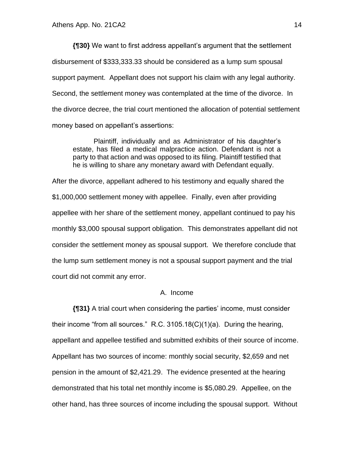**{¶30}** We want to first address appellant's argument that the settlement disbursement of \$333,333.33 should be considered as a lump sum spousal support payment. Appellant does not support his claim with any legal authority. Second, the settlement money was contemplated at the time of the divorce. In the divorce decree, the trial court mentioned the allocation of potential settlement money based on appellant's assertions:

Plaintiff, individually and as Administrator of his daughter's estate, has filed a medical malpractice action. Defendant is not a party to that action and was opposed to its filing. Plaintiff testified that he is willing to share any monetary award with Defendant equally.

After the divorce, appellant adhered to his testimony and equally shared the \$1,000,000 settlement money with appellee. Finally, even after providing appellee with her share of the settlement money, appellant continued to pay his monthly \$3,000 spousal support obligation. This demonstrates appellant did not consider the settlement money as spousal support. We therefore conclude that the lump sum settlement money is not a spousal support payment and the trial court did not commit any error.

## A. Income

**{¶31}** A trial court when considering the parties' income, must consider their income "from all sources." R.C. 3105.18(C)(1)(a). During the hearing, appellant and appellee testified and submitted exhibits of their source of income. Appellant has two sources of income: monthly social security, \$2,659 and net pension in the amount of \$2,421.29. The evidence presented at the hearing demonstrated that his total net monthly income is \$5,080.29. Appellee, on the other hand, has three sources of income including the spousal support. Without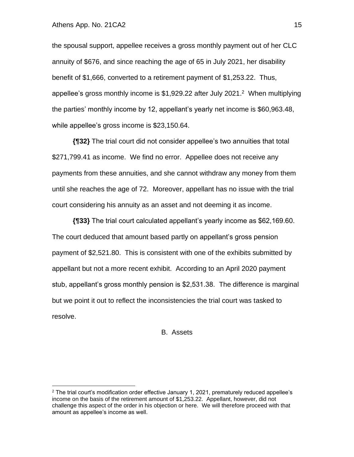the spousal support, appellee receives a gross monthly payment out of her CLC annuity of \$676, and since reaching the age of 65 in July 2021, her disability benefit of \$1,666, converted to a retirement payment of \$1,253.22. Thus, appellee's gross monthly income is \$1,929.22 after July 2021. 2 When multiplying the parties' monthly income by 12, appellant's yearly net income is \$60,963.48, while appellee's gross income is \$23,150.64.

**{¶32}** The trial court did not consider appellee's two annuities that total \$271,799.41 as income. We find no error. Appellee does not receive any payments from these annuities, and she cannot withdraw any money from them until she reaches the age of 72. Moreover, appellant has no issue with the trial court considering his annuity as an asset and not deeming it as income.

**{¶33}** The trial court calculated appellant's yearly income as \$62,169.60. The court deduced that amount based partly on appellant's gross pension payment of \$2,521.80. This is consistent with one of the exhibits submitted by appellant but not a more recent exhibit. According to an April 2020 payment stub, appellant's gross monthly pension is \$2,531.38. The difference is marginal but we point it out to reflect the inconsistencies the trial court was tasked to resolve.

B. Assets

 $2$  The trial court's modification order effective January 1, 2021, prematurely reduced appellee's income on the basis of the retirement amount of \$1,253.22. Appellant, however, did not challenge this aspect of the order in his objection or here. We will therefore proceed with that amount as appellee's income as well.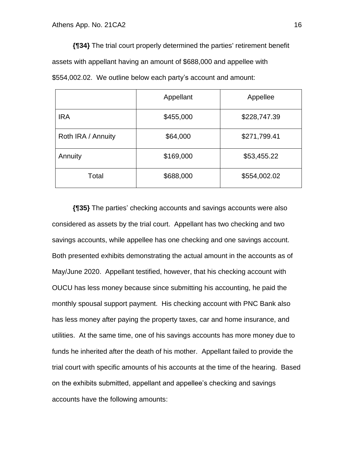**{¶34}** The trial court properly determined the parties' retirement benefit assets with appellant having an amount of \$688,000 and appellee with \$554,002.02. We outline below each party's account and amount:

|                    | Appellant | Appellee     |
|--------------------|-----------|--------------|
| <b>IRA</b>         | \$455,000 | \$228,747.39 |
| Roth IRA / Annuity | \$64,000  | \$271,799.41 |
| Annuity            | \$169,000 | \$53,455.22  |
| Total              | \$688,000 | \$554,002.02 |

**{¶35}** The parties' checking accounts and savings accounts were also considered as assets by the trial court. Appellant has two checking and two savings accounts, while appellee has one checking and one savings account. Both presented exhibits demonstrating the actual amount in the accounts as of May/June 2020. Appellant testified, however, that his checking account with OUCU has less money because since submitting his accounting, he paid the monthly spousal support payment. His checking account with PNC Bank also has less money after paying the property taxes, car and home insurance, and utilities. At the same time, one of his savings accounts has more money due to funds he inherited after the death of his mother. Appellant failed to provide the trial court with specific amounts of his accounts at the time of the hearing. Based on the exhibits submitted, appellant and appellee's checking and savings accounts have the following amounts: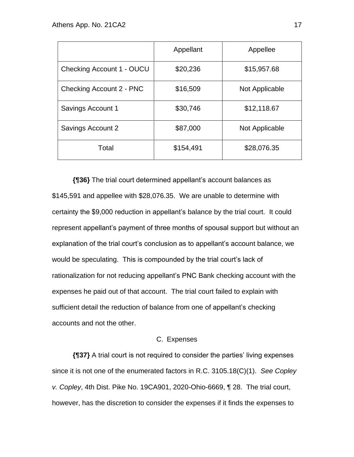|                           | Appellant | Appellee       |
|---------------------------|-----------|----------------|
| Checking Account 1 - OUCU | \$20,236  | \$15,957.68    |
| Checking Account 2 - PNC  | \$16,509  | Not Applicable |
| Savings Account 1         | \$30,746  | \$12,118.67    |
| Savings Account 2         | \$87,000  | Not Applicable |
| Total                     | \$154,491 | \$28,076.35    |

**{¶36}** The trial court determined appellant's account balances as \$145,591 and appellee with \$28,076.35. We are unable to determine with certainty the \$9,000 reduction in appellant's balance by the trial court. It could represent appellant's payment of three months of spousal support but without an explanation of the trial court's conclusion as to appellant's account balance, we would be speculating. This is compounded by the trial court's lack of rationalization for not reducing appellant's PNC Bank checking account with the expenses he paid out of that account. The trial court failed to explain with sufficient detail the reduction of balance from one of appellant's checking accounts and not the other.

## C. Expenses

**{¶37}** A trial court is not required to consider the parties' living expenses since it is not one of the enumerated factors in R.C. 3105.18(C)(1). *See Copley v. Copley*, 4th Dist. Pike No. 19CA901, 2020-Ohio-6669, ¶ 28. The trial court, however, has the discretion to consider the expenses if it finds the expenses to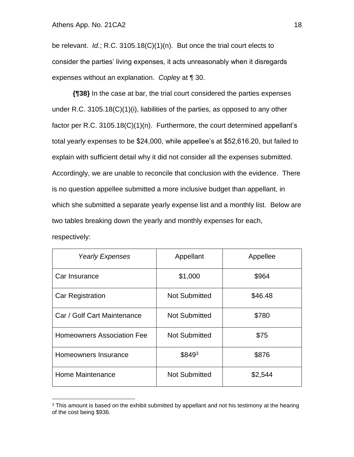be relevant. *Id*.; R.C. 3105.18(C)(1)(n). But once the trial court elects to consider the parties' living expenses, it acts unreasonably when it disregards expenses without an explanation. *Copley* at ¶ 30.

**{¶38}** In the case at bar, the trial court considered the parties expenses under R.C. 3105.18(C)(1)(i), liabilities of the parties, as opposed to any other factor per R.C. 3105.18(C)(1)(n). Furthermore, the court determined appellant's total yearly expenses to be \$24,000, while appellee's at \$52,616.20, but failed to explain with sufficient detail why it did not consider all the expenses submitted. Accordingly, we are unable to reconcile that conclusion with the evidence. There is no question appellee submitted a more inclusive budget than appellant, in which she submitted a separate yearly expense list and a monthly list. Below are two tables breaking down the yearly and monthly expenses for each,

| <b>Yearly Expenses</b>            | Appellant            | Appellee |
|-----------------------------------|----------------------|----------|
| Car Insurance                     | \$1,000              | \$964    |
| <b>Car Registration</b>           | <b>Not Submitted</b> | \$46.48  |
| Car / Golf Cart Maintenance       | <b>Not Submitted</b> | \$780    |
| <b>Homeowners Association Fee</b> | <b>Not Submitted</b> | \$75     |
| Homeowners Insurance              | \$8493               | \$876    |
| Home Maintenance                  | <b>Not Submitted</b> | \$2,544  |

respectively:

<sup>&</sup>lt;sup>3</sup> This amount is based on the exhibit submitted by appellant and not his testimony at the hearing of the cost being \$936.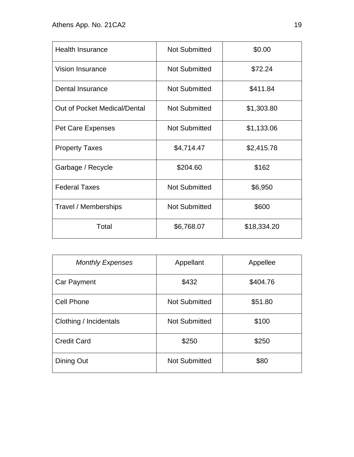| <b>Health Insurance</b>      | <b>Not Submitted</b> | \$0.00      |
|------------------------------|----------------------|-------------|
| <b>Vision Insurance</b>      | <b>Not Submitted</b> | \$72.24     |
| Dental Insurance             | <b>Not Submitted</b> | \$411.84    |
| Out of Pocket Medical/Dental | <b>Not Submitted</b> | \$1,303.80  |
| <b>Pet Care Expenses</b>     | <b>Not Submitted</b> | \$1,133.06  |
| <b>Property Taxes</b>        | \$4,714.47           | \$2,415.78  |
| Garbage / Recycle            | \$204.60             | \$162       |
| <b>Federal Taxes</b>         | <b>Not Submitted</b> | \$6,950     |
| Travel / Memberships         | <b>Not Submitted</b> | \$600       |
| Total                        | \$6,768.07           | \$18,334.20 |

| <b>Monthly Expenses</b> | Appellant            | Appellee |
|-------------------------|----------------------|----------|
| Car Payment             | \$432                | \$404.76 |
| <b>Cell Phone</b>       | <b>Not Submitted</b> | \$51.80  |
| Clothing / Incidentals  | <b>Not Submitted</b> | \$100    |
| <b>Credit Card</b>      | \$250                | \$250    |
| Dining Out              | <b>Not Submitted</b> | \$80     |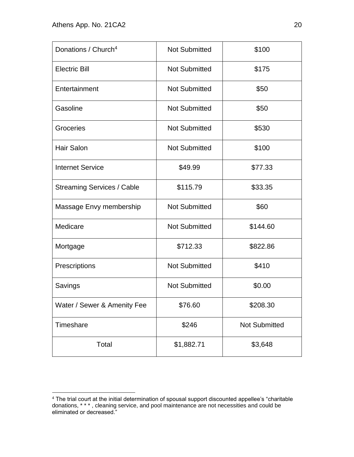| Donations / Church <sup>4</sup>   | <b>Not Submitted</b> | \$100                |
|-----------------------------------|----------------------|----------------------|
| <b>Electric Bill</b>              | <b>Not Submitted</b> | \$175                |
| Entertainment                     | <b>Not Submitted</b> | \$50                 |
| Gasoline                          | <b>Not Submitted</b> | \$50                 |
| Groceries                         | <b>Not Submitted</b> | \$530                |
| <b>Hair Salon</b>                 | <b>Not Submitted</b> | \$100                |
| <b>Internet Service</b>           | \$49.99              | \$77.33              |
| <b>Streaming Services / Cable</b> | \$115.79             | \$33.35              |
| Massage Envy membership           | <b>Not Submitted</b> | \$60                 |
| Medicare                          | <b>Not Submitted</b> | \$144.60             |
| Mortgage                          | \$712.33             | \$822.86             |
| Prescriptions                     | <b>Not Submitted</b> | \$410                |
| Savings                           | <b>Not Submitted</b> | \$0.00               |
| Water / Sewer & Amenity Fee       | \$76.60              | \$208.30             |
| Timeshare                         | \$246                | <b>Not Submitted</b> |
| Total                             | \$1,882.71           | \$3,648              |

<sup>4</sup> The trial court at the initial determination of spousal support discounted appellee's "charitable donations, \* \* \* , cleaning service, and pool maintenance are not necessities and could be eliminated or decreased."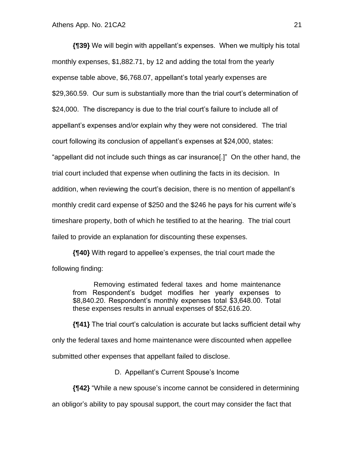**{¶39}** We will begin with appellant's expenses. When we multiply his total monthly expenses, \$1,882.71, by 12 and adding the total from the yearly expense table above, \$6,768.07, appellant's total yearly expenses are \$29,360.59. Our sum is substantially more than the trial court's determination of \$24,000. The discrepancy is due to the trial court's failure to include all of appellant's expenses and/or explain why they were not considered. The trial court following its conclusion of appellant's expenses at \$24,000, states: "appellant did not include such things as car insurance[.]" On the other hand, the trial court included that expense when outlining the facts in its decision. In addition, when reviewing the court's decision, there is no mention of appellant's monthly credit card expense of \$250 and the \$246 he pays for his current wife's timeshare property, both of which he testified to at the hearing. The trial court failed to provide an explanation for discounting these expenses.

**{¶40}** With regard to appellee's expenses, the trial court made the following finding:

Removing estimated federal taxes and home maintenance from Respondent's budget modifies her yearly expenses to \$8,840.20. Respondent's monthly expenses total \$3,648.00. Total these expenses results in annual expenses of \$52,616.20.

**{¶41}** The trial court's calculation is accurate but lacks sufficient detail why only the federal taxes and home maintenance were discounted when appellee submitted other expenses that appellant failed to disclose.

D. Appellant's Current Spouse's Income

**{¶42}** "While a new spouse's income cannot be considered in determining

an obligor's ability to pay spousal support, the court may consider the fact that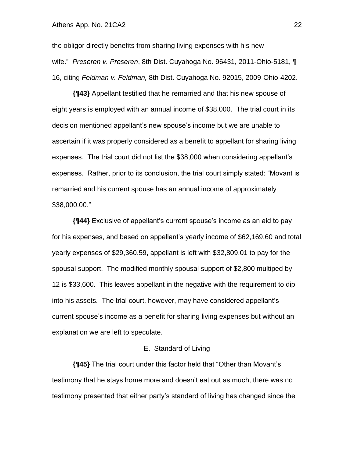the obligor directly benefits from sharing living expenses with his new wife." *Preseren v. Preseren*, 8th Dist. Cuyahoga No. 96431, 2011-Ohio-5181, ¶ 16, citing *Feldman v. Feldman,* 8th Dist. Cuyahoga No. 92015, 2009-Ohio-4202.

**{¶43}** Appellant testified that he remarried and that his new spouse of eight years is employed with an annual income of \$38,000. The trial court in its decision mentioned appellant's new spouse's income but we are unable to ascertain if it was properly considered as a benefit to appellant for sharing living expenses. The trial court did not list the \$38,000 when considering appellant's expenses. Rather, prior to its conclusion, the trial court simply stated: "Movant is remarried and his current spouse has an annual income of approximately \$38,000.00."

**{¶44}** Exclusive of appellant's current spouse's income as an aid to pay for his expenses, and based on appellant's yearly income of \$62,169.60 and total yearly expenses of \$29,360.59, appellant is left with \$32,809.01 to pay for the spousal support. The modified monthly spousal support of \$2,800 multiped by 12 is \$33,600. This leaves appellant in the negative with the requirement to dip into his assets. The trial court, however, may have considered appellant's current spouse's income as a benefit for sharing living expenses but without an explanation we are left to speculate.

## E. Standard of Living

**{¶45}** The trial court under this factor held that "Other than Movant's testimony that he stays home more and doesn't eat out as much, there was no testimony presented that either party's standard of living has changed since the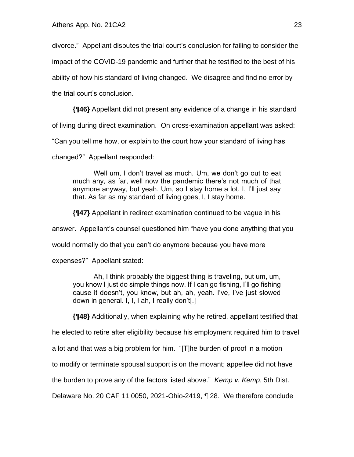divorce." Appellant disputes the trial court's conclusion for failing to consider the impact of the COVID-19 pandemic and further that he testified to the best of his ability of how his standard of living changed. We disagree and find no error by

the trial court's conclusion.

**{¶46}** Appellant did not present any evidence of a change in his standard

of living during direct examination. On cross-examination appellant was asked:

"Can you tell me how, or explain to the court how your standard of living has

changed?" Appellant responded:

Well um, I don't travel as much. Um, we don't go out to eat much any, as far, well now the pandemic there's not much of that anymore anyway, but yeah. Um, so I stay home a lot. I, I'll just say that. As far as my standard of living goes, I, I stay home.

**{¶47}** Appellant in redirect examination continued to be vague in his

answer. Appellant's counsel questioned him "have you done anything that you

would normally do that you can't do anymore because you have more

expenses?" Appellant stated:

Ah, I think probably the biggest thing is traveling, but um, um, you know I just do simple things now. If I can go fishing, I'll go fishing cause it doesn't, you know, but ah, ah, yeah. I've, I've just slowed down in general. I, I, I ah, I really don't[.]

**{¶48}** Additionally, when explaining why he retired, appellant testified that

he elected to retire after eligibility because his employment required him to travel

a lot and that was a big problem for him. "[T]he burden of proof in a motion

to modify or terminate spousal support is on the movant; appellee did not have

the burden to prove any of the factors listed above." *Kemp v. Kemp*, 5th Dist.

Delaware No. 20 CAF 11 0050, 2021-Ohio-2419, ¶ 28. We therefore conclude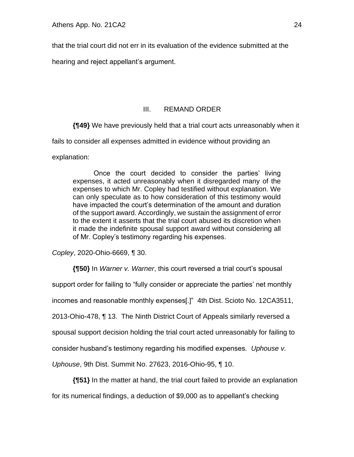that the trial court did not err in its evaluation of the evidence submitted at the

hearing and reject appellant's argument.

# III. REMAND ORDER

**{¶49}** We have previously held that a trial court acts unreasonably when it

fails to consider all expenses admitted in evidence without providing an

explanation:

Once the court decided to consider the parties' living expenses, it acted unreasonably when it disregarded many of the expenses to which Mr. Copley had testified without explanation. We can only speculate as to how consideration of this testimony would have impacted the court's determination of the amount and duration of the support award. Accordingly, we sustain the assignment of error to the extent it asserts that the trial court abused its discretion when it made the indefinite spousal support award without considering all of Mr. Copley's testimony regarding his expenses.

*Copley*, 2020-Ohio-6669, ¶ 30.

**{¶50}** In *Warner v. Warner*, this court reversed a trial court's spousal

support order for failing to "fully consider or appreciate the parties' net monthly

incomes and reasonable monthly expenses[.]" 4th Dist. Scioto No. 12CA3511,

2013-Ohio-478, ¶ 13. The Ninth District Court of Appeals similarly reversed a

spousal support decision holding the trial court acted unreasonably for failing to

consider husband's testimony regarding his modified expenses. *Uphouse v.*

*Uphouse*, 9th Dist. Summit No. 27623, 2016-Ohio-95, ¶ 10.

**{¶51}** In the matter at hand, the trial court failed to provide an explanation

for its numerical findings, a deduction of \$9,000 as to appellant's checking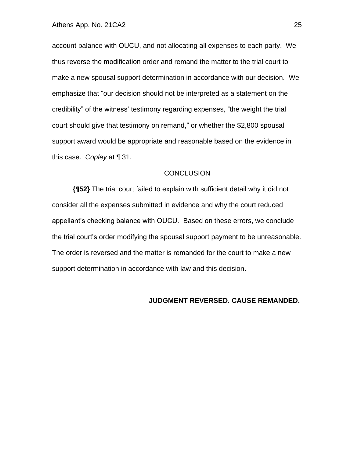account balance with OUCU, and not allocating all expenses to each party. We thus reverse the modification order and remand the matter to the trial court to make a new spousal support determination in accordance with our decision. We emphasize that "our decision should not be interpreted as a statement on the credibility" of the witness' testimony regarding expenses, "the weight the trial court should give that testimony on remand," or whether the \$2,800 spousal support award would be appropriate and reasonable based on the evidence in this case. *Copley* at ¶ 31.

### **CONCLUSION**

**{¶52}** The trial court failed to explain with sufficient detail why it did not consider all the expenses submitted in evidence and why the court reduced appellant's checking balance with OUCU. Based on these errors, we conclude the trial court's order modifying the spousal support payment to be unreasonable. The order is reversed and the matter is remanded for the court to make a new support determination in accordance with law and this decision.

#### **JUDGMENT REVERSED. CAUSE REMANDED.**